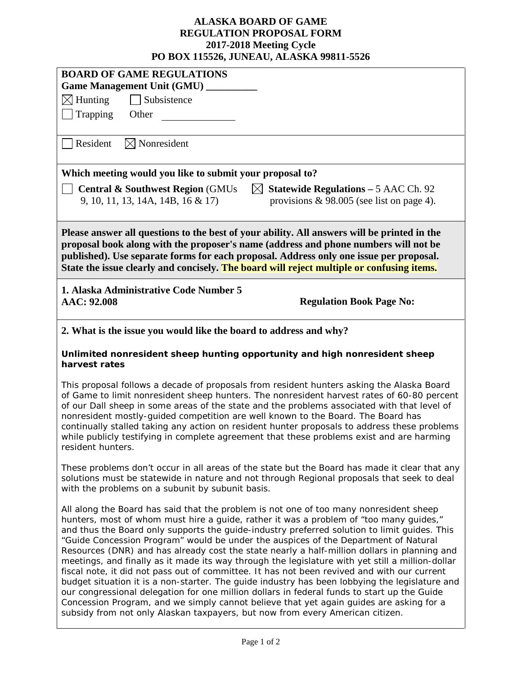## **ALASKA BOARD OF GAME REGULATION PROPOSAL FORM 2017-2018 Meeting Cycle PO BOX 115526, JUNEAU, ALASKA 99811-5526**

| I U DUA 113320, JUNEAU, ALASKA 77011-3320                                                                                                                                                                                                                                                                                                                                                                                                                                                                                                                                                                                                                                                                                                                                                                                                                                                                                                                                                                                                               |  |  |  |
|---------------------------------------------------------------------------------------------------------------------------------------------------------------------------------------------------------------------------------------------------------------------------------------------------------------------------------------------------------------------------------------------------------------------------------------------------------------------------------------------------------------------------------------------------------------------------------------------------------------------------------------------------------------------------------------------------------------------------------------------------------------------------------------------------------------------------------------------------------------------------------------------------------------------------------------------------------------------------------------------------------------------------------------------------------|--|--|--|
| <b>BOARD OF GAME REGULATIONS</b>                                                                                                                                                                                                                                                                                                                                                                                                                                                                                                                                                                                                                                                                                                                                                                                                                                                                                                                                                                                                                        |  |  |  |
| Game Management Unit (GMU) _                                                                                                                                                                                                                                                                                                                                                                                                                                                                                                                                                                                                                                                                                                                                                                                                                                                                                                                                                                                                                            |  |  |  |
| $\boxtimes$ Hunting<br>Subsistence                                                                                                                                                                                                                                                                                                                                                                                                                                                                                                                                                                                                                                                                                                                                                                                                                                                                                                                                                                                                                      |  |  |  |
| Trapping<br>Other                                                                                                                                                                                                                                                                                                                                                                                                                                                                                                                                                                                                                                                                                                                                                                                                                                                                                                                                                                                                                                       |  |  |  |
| $\boxtimes$ Nonresident<br>Resident                                                                                                                                                                                                                                                                                                                                                                                                                                                                                                                                                                                                                                                                                                                                                                                                                                                                                                                                                                                                                     |  |  |  |
| Which meeting would you like to submit your proposal to?                                                                                                                                                                                                                                                                                                                                                                                                                                                                                                                                                                                                                                                                                                                                                                                                                                                                                                                                                                                                |  |  |  |
| <b>Statewide Regulations - 5 AAC Ch. 92</b><br><b>Central &amp; Southwest Region (GMUs)</b><br>$\boxtimes$<br>9, 10, 11, 13, 14A, 14B, 16 & 17<br>provisions $\&$ 98.005 (see list on page 4).                                                                                                                                                                                                                                                                                                                                                                                                                                                                                                                                                                                                                                                                                                                                                                                                                                                          |  |  |  |
| Please answer all questions to the best of your ability. All answers will be printed in the<br>proposal book along with the proposer's name (address and phone numbers will not be<br>published). Use separate forms for each proposal. Address only one issue per proposal.<br>State the issue clearly and concisely. The board will reject multiple or confusing items.                                                                                                                                                                                                                                                                                                                                                                                                                                                                                                                                                                                                                                                                               |  |  |  |
| 1. Alaska Administrative Code Number 5<br>AAC: 92.008<br><b>Regulation Book Page No:</b>                                                                                                                                                                                                                                                                                                                                                                                                                                                                                                                                                                                                                                                                                                                                                                                                                                                                                                                                                                |  |  |  |
| 2. What is the issue you would like the board to address and why?                                                                                                                                                                                                                                                                                                                                                                                                                                                                                                                                                                                                                                                                                                                                                                                                                                                                                                                                                                                       |  |  |  |
| Unlimited nonresident sheep hunting opportunity and high nonresident sheep<br>harvest rates                                                                                                                                                                                                                                                                                                                                                                                                                                                                                                                                                                                                                                                                                                                                                                                                                                                                                                                                                             |  |  |  |
| This proposal follows a decade of proposals from resident hunters asking the Alaska Board<br>of Game to limit nonresident sheep hunters. The nonresident harvest rates of 60-80 percent<br>of our Dall sheep in some areas of the state and the problems associated with that level of<br>nonresident mostly-guided competition are well known to the Board. The Board has<br>continually stalled taking any action on resident hunter proposals to address these problems<br>while publicly testifying in complete agreement that these problems exist and are harming<br>resident hunters.                                                                                                                                                                                                                                                                                                                                                                                                                                                            |  |  |  |
| These problems don't occur in all areas of the state but the Board has made it clear that any<br>solutions must be statewide in nature and not through Regional proposals that seek to deal<br>with the problems on a subunit by subunit basis.                                                                                                                                                                                                                                                                                                                                                                                                                                                                                                                                                                                                                                                                                                                                                                                                         |  |  |  |
| All along the Board has said that the problem is not one of too many nonresident sheep<br>hunters, most of whom must hire a guide, rather it was a problem of "too many guides,"<br>and thus the Board only supports the guide-industry preferred solution to limit guides. This<br>"Guide Concession Program" would be under the auspices of the Department of Natural<br>Resources (DNR) and has already cost the state nearly a half-million dollars in planning and<br>meetings, and finally as it made its way through the legislature with yet still a million-dollar<br>fiscal note, it did not pass out of committee. It has not been revived and with our current<br>budget situation it is a non-starter. The guide industry has been lobbying the legislature and<br>our congressional delegation for one million dollars in federal funds to start up the Guide<br>Concession Program, and we simply cannot believe that yet again guides are asking for a<br>subsidy from not only Alaskan taxpayers, but now from every American citizen. |  |  |  |